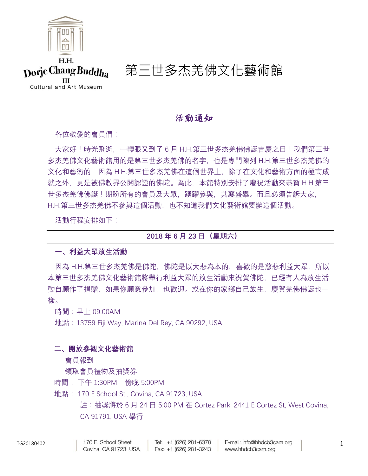

## 活動通知

各位敬愛的會員們:

大家好!時光飛逝,一轉眼又到了 6 月 H.H.第三世多杰羌佛佛誕吉慶之日!我們第三世 多杰羌佛文化藝術館用的是第三世多杰羌佛的名字,也是專門陳列 H.H.第三世多杰羌佛的 文化和藝術的,因為 H.H.第三世多杰羌佛在這個世界上,除了在文化和藝術方面的極高成 就之外,更是被佛教界公開認證的佛陀。為此,本館特別安排了慶祝活動來恭賀 H.H.第三 世多杰羌佛佛誕!期盼所有的會員及大眾,踴躍參與,共襄盛舉。而且必須告訴大家, H.H.第三世多杰羌佛不參與這個活動,也不知道我們文化藝術館要辦這個活動。

活動行程安排如下:

## **2018 年 6 月 23 日(星期六)**

## **一、利益大眾放生活動**

因為 H.H.第三世多杰羌佛是佛陀, 佛陀是以大悲為本的, 喜歡的是慈悲利益大眾, 所以 本第三世多杰羌佛文化藝術館將舉行利益大眾的放生活動來祝賀佛陀,已經有人為放生活 動自願作了捐贈,如果你願意參加,也歡迎。或在你的家鄉自己放生,慶賀羌佛佛誕也一 樣。

時間:早上 09:00AM

地點:13759 Fiji Way, Marina Del Rey, CA 90292, USA

## **二、開放參觀文化藝術館**

會員報到

### 領取會員禮物及抽獎券

時間: 下午 1:30PM – 傍晚 5:00PM

地點: 170 E School St., Covina, CA 91723, USA

註:抽獎將於 6 月 24 日 5:00 PM 在 Cortez Park, 2441 E Cortez St, West Covina, CA 91791, USA 舉行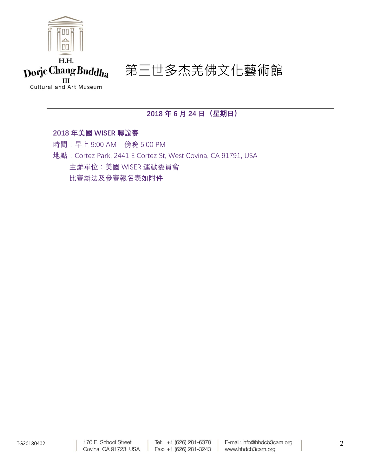

Cultural and Art Museum

**2018 年 6 月 24 日(星期日)**

**2018 年美國 WISER 聯誼賽** 時間:早上 9:00 AM - 傍晚 5:00 PM 地點:Cortez Park, 2441 E Cortez St, West Covina, CA 91791, USA 主辦單位:美國 WISER 運動委員會 比賽辦法及參賽報名表如附件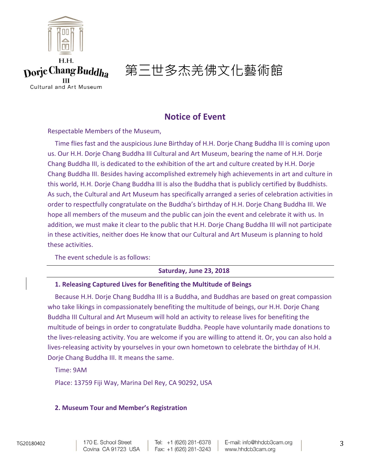

## **Notice of Event**

Respectable Members of the Museum,

Time flies fast and the auspicious June Birthday of H.H. Dorje Chang Buddha III is coming upon us. Our H.H. Dorje Chang Buddha III Cultural and Art Museum, bearing the name of H.H. Dorje Chang Buddha III, is dedicated to the exhibition of the art and culture created by H.H. Dorje Chang Buddha III. Besides having accomplished extremely high achievements in art and culture in this world, H.H. Dorje Chang Buddha III is also the Buddha that is publicly certified by Buddhists. As such, the Cultural and Art Museum has specifically arranged a series of celebration activities in order to respectfully congratulate on the Buddha's birthday of H.H. Dorje Chang Buddha III. We hope all members of the museum and the public can join the event and celebrate it with us. In addition, we must make it clear to the public that H.H. Dorje Chang Buddha III will not participate in these activities, neither does He know that our Cultural and Art Museum is planning to hold these activities.

The event schedule is as follows:

## **Saturday, June 23, 2018**

### **1. Releasing Captured Lives for Benefiting the Multitude of Beings**

Because H.H. Dorje Chang Buddha III is a Buddha, and Buddhas are based on great compassion who take likings in compassionately benefiting the multitude of beings, our H.H. Dorje Chang Buddha III Cultural and Art Museum will hold an activity to release lives for benefiting the multitude of beings in order to congratulate Buddha. People have voluntarily made donations to the lives-releasing activity. You are welcome if you are willing to attend it. Or, you can also hold a lives-releasing activity by yourselves in your own hometown to celebrate the birthday of H.H. Dorje Chang Buddha III. It means the same.

Time: 9AM

Place: 13759 Fiji Way, Marina Del Rey, CA 90292, USA

### **2. Museum Tour and Member's Registration**